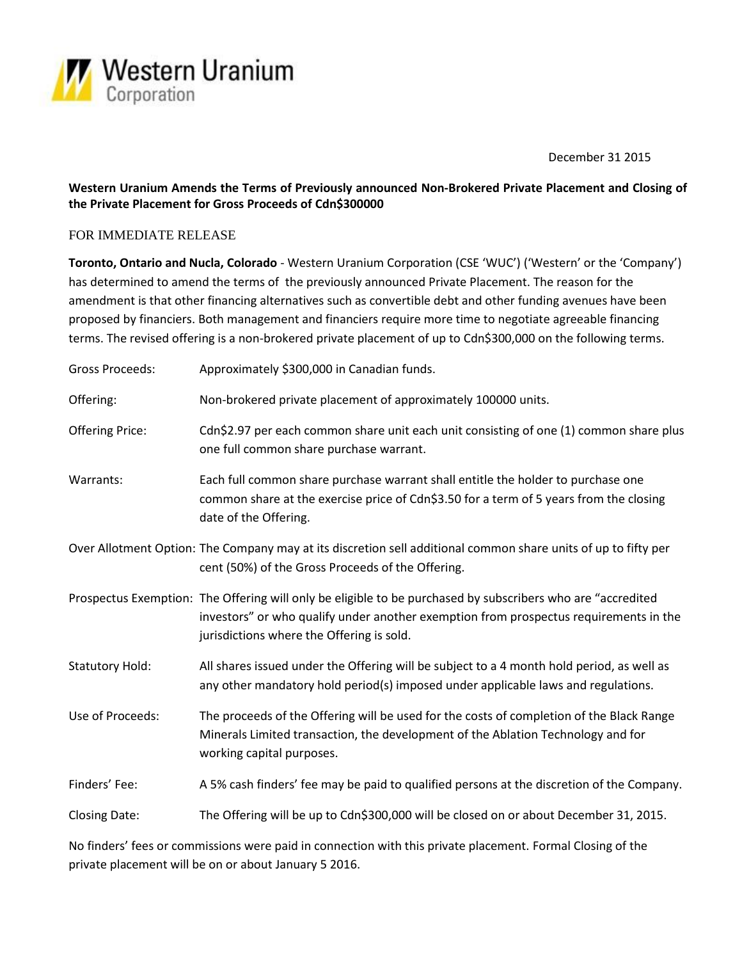

December 31 2015

# **Western Uranium Amends the Terms of Previously announced Non-Brokered Private Placement and Closing of the Private Placement for Gross Proceeds of Cdn\$300000**

### FOR IMMEDIATE RELEASE

**Toronto, Ontario and Nucla, Colorado** - Western Uranium Corporation (CSE 'WUC') ('Western' or the 'Company') has determined to amend the terms of the previously announced Private Placement. The reason for the amendment is that other financing alternatives such as convertible debt and other funding avenues have been proposed by financiers. Both management and financiers require more time to negotiate agreeable financing terms. The revised offering is a non-brokered private placement of up to Cdn\$300,000 on the following terms.

| <b>Gross Proceeds:</b> | Approximately \$300,000 in Canadian funds.                                                                                                                                                                                                        |
|------------------------|---------------------------------------------------------------------------------------------------------------------------------------------------------------------------------------------------------------------------------------------------|
| Offering:              | Non-brokered private placement of approximately 100000 units.                                                                                                                                                                                     |
| <b>Offering Price:</b> | Cdn\$2.97 per each common share unit each unit consisting of one (1) common share plus<br>one full common share purchase warrant.                                                                                                                 |
| Warrants:              | Each full common share purchase warrant shall entitle the holder to purchase one<br>common share at the exercise price of Cdn\$3.50 for a term of 5 years from the closing<br>date of the Offering.                                               |
|                        | Over Allotment Option: The Company may at its discretion sell additional common share units of up to fifty per<br>cent (50%) of the Gross Proceeds of the Offering.                                                                               |
|                        | Prospectus Exemption: The Offering will only be eligible to be purchased by subscribers who are "accredited<br>investors" or who qualify under another exemption from prospectus requirements in the<br>jurisdictions where the Offering is sold. |
| <b>Statutory Hold:</b> | All shares issued under the Offering will be subject to a 4 month hold period, as well as<br>any other mandatory hold period(s) imposed under applicable laws and regulations.                                                                    |
| Use of Proceeds:       | The proceeds of the Offering will be used for the costs of completion of the Black Range<br>Minerals Limited transaction, the development of the Ablation Technology and for<br>working capital purposes.                                         |
| Finders' Fee:          | A 5% cash finders' fee may be paid to qualified persons at the discretion of the Company.                                                                                                                                                         |
| <b>Closing Date:</b>   | The Offering will be up to Cdn\$300,000 will be closed on or about December 31, 2015.                                                                                                                                                             |

No finders' fees or commissions were paid in connection with this private placement. Formal Closing of the private placement will be on or about January 5 2016.